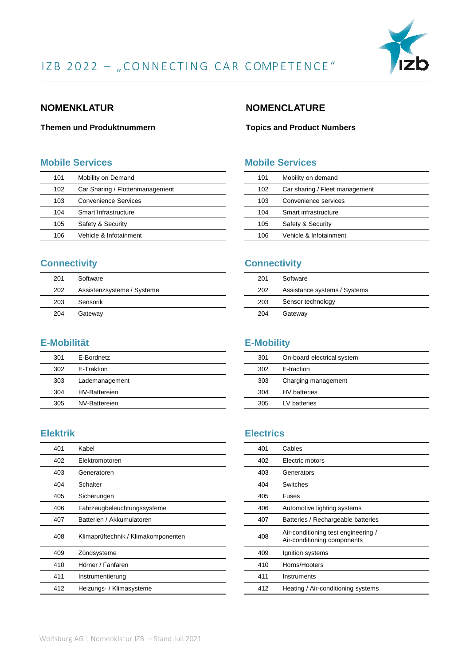

#### **NOMENKLATUR**

#### **Themen und Produktnummern**

#### **Mobile Services**

| 101 | Mobility on Demand              |
|-----|---------------------------------|
| 102 | Car Sharing / Flottenmanagement |
| 103 | <b>Convenience Services</b>     |
| 104 | Smart Infrastructure            |
| 105 | Safety & Security               |
| 106 | Vehicle & Inforainment          |

## **Connectivity**

| 201 | Software                   |
|-----|----------------------------|
| 202 | Assistenzsysteme / Systeme |
| 203 | Sensorik                   |
| 204 | Gateway                    |

## **E-Mobilität**

| 301 | E-Bordnetz           |
|-----|----------------------|
| 302 | E-Traktion           |
| 303 | Lademanagement       |
| 304 | <b>HV-Battereien</b> |
| 305 | NV-Battereien        |

#### **Elektrik**

| 401 | Kabel                               |
|-----|-------------------------------------|
| 402 | Elektromotoren                      |
| 403 | Generatoren                         |
| 404 | Schalter                            |
| 405 | Sicherungen                         |
| 406 | Fahrzeugbeleuchtungssysteme         |
| 407 | Batterien / Akkumulatoren           |
| 408 | Klimaprüftechnik / Klimakomponenten |
| 409 | Zündsysteme                         |
| 410 | Hörner / Fanfaren                   |
| 411 | Instrumentierung                    |
| 412 | Heizungs- / Klimasysteme            |
|     |                                     |

#### **NOMENCLATURE**

#### **Topics and Product Numbers**

#### **Mobile Services**

| 101 | Mobility on demand             |
|-----|--------------------------------|
| 102 | Car sharing / Fleet management |
| 103 | Convenience services           |
| 104 | Smart infrastructure           |
| 105 | Safety & Security              |
| 106 | Vehicle & Infotainment         |

#### **Connectivity**

| 201 | Software                     |
|-----|------------------------------|
| 202 | Assistance systems / Systems |
| 203 | Sensor technology            |
| 204 | Gateway                      |
|     |                              |

#### **E-Mobility**

| 301 | On-board electrical system |
|-----|----------------------------|
| 302 | E-traction                 |
| 303 | Charging management        |
| 304 | <b>HV</b> batteries        |
| 305 | LV batteries               |

## **Electrics**

| 401 | Cables                                                             |
|-----|--------------------------------------------------------------------|
| 402 | Electric motors                                                    |
| 403 | Generators                                                         |
| 404 | Switches                                                           |
| 405 | Fuses                                                              |
| 406 | Automotive lighting systems                                        |
| 407 | Batteries / Rechargeable batteries                                 |
| 408 | Air-conditioning test engineering /<br>Air-conditioning components |
| 409 | Ignition systems                                                   |
| 410 | Horns/Hooters                                                      |
| 411 | Instruments                                                        |
| 412 | Heating / Air-conditioning systems                                 |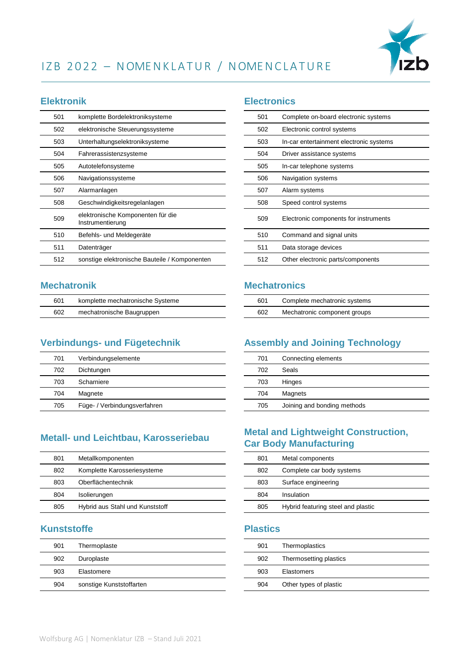

## IZB 2022 - NOMENKLATUR / NOMENCLATURE

#### **Elektronik**

| 501 | komplette Bordelektroniksysteme                       |
|-----|-------------------------------------------------------|
| 502 | elektronische Steuerungssysteme                       |
| 503 | Unterhaltungselektroniksysteme                        |
| 504 | Fahrerassistenzsysteme                                |
| 505 | Autotelefonsysteme                                    |
| 506 | Navigationssysteme                                    |
| 507 | Alarmanlagen                                          |
| 508 | Geschwindigkeitsregelanlagen                          |
| 509 | elektronische Komponenten für die<br>Instrumentierung |
| 510 | Befehls- und Meldegeräte                              |
| 511 | Datenträger                                           |
| 512 | sonstige elektronische Bauteile / Komponenten         |

#### **Mechatronik**

| 601 | komplette mechatronische Systeme |  |
|-----|----------------------------------|--|
| 602 | mechatronische Baugruppen        |  |

## **Verbindungs- und Fügetechnik**

| 701 | Verbindungselemente          |
|-----|------------------------------|
| 702 | Dichtungen                   |
| 703 | Scharniere                   |
| 704 | Magnete                      |
| 705 | Füge- / Verbindungsverfahren |

#### **Metall- und Leichtbau, Karosseriebau**

| 801 | Metallkomponenten               |
|-----|---------------------------------|
| 802 | Komplette Karosseriesysteme     |
| 803 | Oberflächentechnik              |
| 804 | Isolierungen                    |
| 805 | Hybrid aus Stahl und Kunststoff |

#### **Kunststoffe**

| 901 | Thermoplaste             |
|-----|--------------------------|
| 902 | Duroplaste               |
| 903 | Elastomere               |
| 904 | sonstige Kunststoffarten |

#### **Electronics**

| 501 | Complete on-board electronic systems    |
|-----|-----------------------------------------|
| 502 | Electronic control systems              |
| 503 | In-car entertainment electronic systems |
| 504 | Driver assistance systems               |
| 505 | In-car telephone systems                |
| 506 | Navigation systems                      |
| 507 | Alarm systems                           |
| 508 | Speed control systems                   |
| 509 | Electronic components for instruments   |
| 510 | Command and signal units                |
| 511 | Data storage devices                    |
| 512 | Other electronic parts/components       |
|     |                                         |

#### **Mechatronics**

| 601 | Complete mechatronic systems |
|-----|------------------------------|
| 602 | Mechatronic component groups |

## **Assembly and Joining Technology**

| 701 | Connecting elements         |
|-----|-----------------------------|
| 702 | Seals                       |
| 703 | Hinges                      |
| 704 | Magnets                     |
| 705 | Joining and bonding methods |

## **Metal and Lightweight Construction, Car Body Manufacturing**

| 801 | Metal components                   |
|-----|------------------------------------|
| 802 | Complete car body systems          |
| 803 | Surface engineering                |
| 804 | Insulation                         |
| 805 | Hybrid featuring steel and plastic |
|     |                                    |

#### **Plastics**

| 901 | Thermoplastics         |
|-----|------------------------|
| 902 | Thermosetting plastics |
| 903 | Elastomers             |
| 904 | Other types of plastic |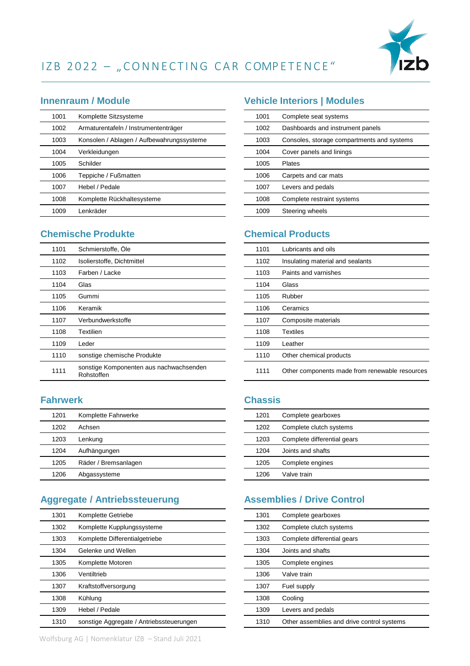

# IZB 2022 - "CONNECTING CAR COMPETENCE"

#### **Innenraum / Module**

| 1001 | Komplette Sitzsysteme                     |
|------|-------------------------------------------|
| 1002 | Armaturentafeln / Instrumententräger      |
| 1003 | Konsolen / Ablagen / Aufbewahrungssysteme |
| 1004 | Verkleidungen                             |
| 1005 | Schilder                                  |
| 1006 | Teppiche / Fußmatten                      |
| 1007 | Hebel / Pedale                            |
| 1008 | Komplette Rückhaltesysteme                |
| 1009 | Lenkräder                                 |

#### **Chemische Produkte**

| 1101 | Schmierstoffe, Öle                                    |
|------|-------------------------------------------------------|
| 1102 | Isolierstoffe, Dichtmittel                            |
| 1103 | Farben / Lacke                                        |
| 1104 | Glas                                                  |
| 1105 | Gummi                                                 |
| 1106 | Keramik                                               |
| 1107 | Verbundwerkstoffe                                     |
| 1108 | Textilien                                             |
| 1109 | Leder                                                 |
| 1110 | sonstige chemische Produkte                           |
| 1111 | sonstige Komponenten aus nachwachsenden<br>Rohstoffen |

#### **Fahrwerk**

| 1201 | Komplette Fahrwerke  |
|------|----------------------|
| 1202 | Achsen               |
| 1203 | Lenkung              |
| 1204 | Aufhängungen         |
| 1205 | Räder / Bremsanlagen |
| 1206 | Abgassysteme         |

## **Aggregate / Antriebssteuerung**

| 1301 | Komplette Getriebe                       |
|------|------------------------------------------|
| 1302 | Komplette Kupplungssysteme               |
| 1303 | Komplette Differentialgetriebe           |
| 1304 | Gelenke und Wellen                       |
| 1305 | Komplette Motoren                        |
| 1306 | Ventiltrieb                              |
| 1307 | Kraftstoffversorgung                     |
| 1308 | Kühlung                                  |
| 1309 | Hebel / Pedale                           |
| 1310 | sonstige Aggregate / Antriebssteuerungen |

## **Vehicle Interiors | Modules**

| 1001 | Complete seat systems                      |
|------|--------------------------------------------|
| 1002 | Dashboards and instrument panels           |
| 1003 | Consoles, storage compartments and systems |
| 1004 | Cover panels and linings                   |
| 1005 | Plates                                     |
| 1006 | Carpets and car mats                       |
| 1007 | Levers and pedals                          |
| 1008 | Complete restraint systems                 |
| 1009 | Steering wheels                            |
|      |                                            |

#### **Chemical Products**

| 1101 | Lubricants and oils                            |
|------|------------------------------------------------|
| 1102 | Insulating material and sealants               |
| 1103 | Paints and varnishes                           |
| 1104 | Glass                                          |
| 1105 | Rubber                                         |
| 1106 | Ceramics                                       |
| 1107 | Composite materials                            |
| 1108 | <b>Textiles</b>                                |
| 1109 | Leather                                        |
| 1110 | Other chemical products                        |
| 1111 | Other components made from renewable resources |

#### **Chassis**

| 1201 | Complete gearboxes          |
|------|-----------------------------|
| 1202 | Complete clutch systems     |
| 1203 | Complete differential gears |
| 1204 | Joints and shafts           |
| 1205 | Complete engines            |
| 1206 | Valve train                 |

#### **Assemblies / Drive Control**

| 1301 | Complete gearboxes                         |
|------|--------------------------------------------|
| 1302 | Complete clutch systems                    |
| 1303 | Complete differential gears                |
| 1304 | Joints and shafts                          |
| 1305 | Complete engines                           |
| 1306 | Valve train                                |
| 1307 | Fuel supply                                |
| 1308 | Cooling                                    |
| 1309 | Levers and pedals                          |
| 1310 | Other assemblies and drive control systems |

Wolfsburg AG | Nomenklatur IZB – Stand Juli 2021